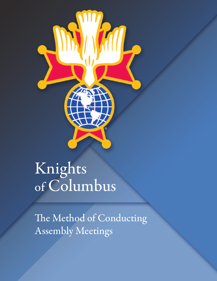

# Knights of Columbus

The Method of Conducting Assembly Meetings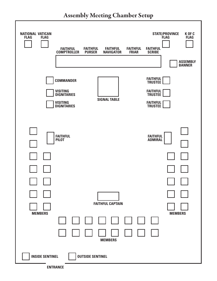**Assembly Meeting Chamber Setup**

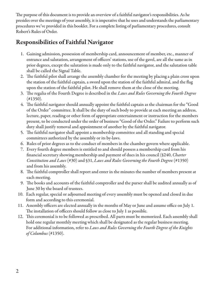The purpose of this document is to provide an overview of a faithful navigator's responsibilities. As he presides over the meetings of your assembly, it is imperative that he uses and understands the parliamentary procedures we've provided in this booklet. For a complete listing of parliamentary procedures, consult Robert's Rules of Order.

# **Responsibilities of Faithful Navigator**

- 1. Gaining admission, possession of membership card, announcement of member, etc., manner of entrance and salutation, arrangement of officers' stations, use of the gavel, are all the same as in prior degrees, except the salutation is made only to the faithful navigator, and the salutation table shall be called the Signal Table.
- 2. The faithful pilot shall arrange the assembly chamber for the meeting by placing a plain cross upon the station of the faithful captain, a sword upon the station of the faithful admiral, and the flag upon the station of the faithful pilot. He shall remove them at the close of the meeting.
- 3. The regalia of the Fourth Degree is described in the Laws and Rules Governing the Fourth Degree (#1350).
- 4. The faithful navigator should annually appoint the faithful captain as the chairman for the "Good of the Order" committee. It shall be the duty of such body to provide at each meeting an address, lecture, paper, reading or other form of appropriate entertainment or instruction for the members present, to be conducted under the order of business "Good of the Order." Failure to perform such duty shall justify removal and appointment of another by the faithful navigator.
- 5. The faithful navigator shall appoint a membership committee and all standing and special committees authorized by the assembly or its by-laws.
- 6. Rules of prior degrees as to the conduct of members in the chamber govern where applicable.
- 7. Every fourth degree members isentitled to and should possess a membership card from his financial secretary showing membership and payment of dues in his council (§240, *Charter* Constitution and Laws (#30) and §31, Laws and Rules Governing the Fourth Degree(#1350) and from his assembly.
- 8. The faithful comptroller shall report and enter in the minutes the number of members present at each meeting.
- 9. The books and accounts of the faithful comptroller and the purser shall be audited annually as of June 30 by the board of trustees.
- 10. Each regular, special or adjourned meeting of every assembly must be opened and closed in due form and according to this ceremonial.
- 11. Assembly officers are elected annually in the months of May or June and assume office on July 1. The installation of officers should follow as close to July 1 as possible.
- 12. This ceremonial is to be followed as prescribed. All parts must be memorized. Each assembly shall hold one regular monthly meeting which shall be designated as the regular business meeting. For additional information, refer to Laws and Rules Governing the Fourth Degree of the Knights of Columbus (#1350).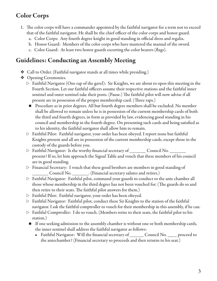# **Color Corps**

- 1. The color corps will have a commander appointed by the faithful navigator for a term not to exceed that of the faithful navigator. He shall be the chief officer of the color corps and honor guard.
	- a. Color Corps: Any fourth degree knight in good standing in official dress and regalia.
	- b. Honor Guard: Members of the color corps who have mastered the manual of the sword.
	- c. Color Guard: At least two honor guards escorting the color bearers (flags).

#### **Guidelines: Conducting an Assembly Meeting**

- $\triangleleft$  Call to Order. (Faithful navigator stands at all times while presiding.)
- ❖ Opening Ceremonies.
	- $\triangleright$  Faithful Navigator (One rap of the gavel): Sir Knights, we are about to open this meeting in the Fourth Section. Let our faithful officers assume their respective stations and the faithful inner sentinel and outer sentinel take their posts. (Pause.) The faithful pilot will now advise if all present are in possession of the proper membership card. (Three raps.)
		- $\blacksquare$  Procedure as in prior degrees. All but fourth degree members shall be excluded. No member shall be allowed to remain unless he is in possession of the current membership cards of both the third and fourth degrees, in form as provided by law, evidencing good standing in his council and membership in the fourth degree. On presenting such cards and being satisfied as to his identity, the faithful navigator shall allow him to remain.
	- $\triangleright$  Faithful Pilot: Faithful navigator, your order has been obeyed. I report none but faithful Knights present and all are in possession of the current membership cards, except those in the custody of the guards before you.
	- $\triangleright$  Faithful Navigator: Is the worthy financial secretary of \_\_\_\_\_\_ Council No. \_\_\_\_\_\_\_ present? If so, let him approach the Signal Table and vouch that these members of hiscouncil are in good standing.
	- $\triangleright$  Financial Secretary: I vouch that these good brothers are members in good standing of Council No. \_\_\_\_\_\_\_\_. (Financial secretary salutes and retires.)
	- $\triangleright$  Faithful Navigator: Faithful pilot, command your guards to conduct to the ante chamber all those whose membership in the third degree has not been vouched for. (The guards do so and then retire to their seats. The faithful pilot answers for them.)
	- $\triangleright$  Faithful Pilot: Faithful navigator, your order has been obeyed.
	- $\triangleright$  Faithful Navigator: Faithful pilot, conduct these Sir Knights to the station of the faithful navigator. I ask the faithful comptroller to vouch for their membership in this assembly, if he can.
	- $\triangleright$  Faithful Comptroller: I do so vouch. (Members retire to their seats, the faithful pilot to his station.)
		- $\blacksquare$  If one seeking admission to the assembly chamber is without one or both membership cards, the inner sentinel shall address the faithful navigator as follows:
			- Faithful Navigator: Will the financial secretary of \_\_\_\_\_\_\_ Council No. \_\_\_\_\_ proceed to the antechamber? (Financial secretary so proceeds and then returns to his seat.)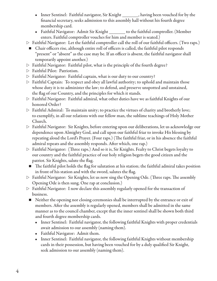- Inner Sentinel: Faithful navigator, Sir Knight \_\_\_\_\_\_\_, having been vouched for by the financial secretary, seeks admission to this assembly hall without his fourth degree membership card.
- Faithful Navigator: Admit Sir Knight \_\_\_\_\_\_\_ to the faithful comptroller. (Member enters. Faithful comptroller vouches for him and member is seated.)
- $\triangleright$  Faithful Navigator: Let the faithful comptroller call the roll of our faithful officers. (Two raps.)
	- $\blacksquare$  Chair officers rise, although entire roll of officers is called, the faithful pilot responds "present" or "absent" as the case may be. If an officer is absent, the faithful navigator shall temporarily appoint another.)
- $\triangleright$  Faithful Navigator: Faithful pilot, what is the principle of the fourth degree?
- $\triangleright$  Faithful Pilot: Patriotism.
- $\triangleright$  Faithful Navigator: Faithful captain, what is our duty to our country?
- $\triangleright$  Faithful Captain: To respect and obey all lawful authority; to uphold and maintain those whose duty it is to administer the law; to defend, and preserve unspotted and unstained, the flag of our Country, and the principles for which it stands.
- $\triangleright$  Faithful Navigator: Faithful admiral, what other duties have we as faithful Knights of our honored Order?
- $\triangleright$  Faithful Admiral: To maintain unity; to practice the virtues of charity and brotherly love; to exemplify, in all our relations with our fellow man, the sublime teachings of Holy Mother Church.
- $\triangleright$  Faithful Navigator: Sir Knights, before entering upon our deliberations, let us acknowledge our dependence upon Almighty God, and call upon our faithful friar to invoke His blessing by repeating aloud the Lord's Prayer. (Four raps.) (The faithful friar, or in his absence the faithful admiral repeats and the assembly responds. After which, onerap.)
- $\triangleright$  Faithful Navigator: (Three raps.) And so it is, Sir Knights. Fealty to Christ begets loyalty to our country and the faithful practice of our holy religion begets the good citizen and the patriot. Sir Knights, salute the flag.
	- $\blacksquare$  The faithful pilot holds the flag for salutation at his station; the faithful admiral takes position in front of his station and with the sword, salutes the flag.
- $\triangleright$  Faithful Navigator: Sir Knights, let us now sing the Opening Ode. (Three raps. The assembly Opening Ode is then sung. One rap at conclusion.)
- $\triangleright$  Faithful Navigator: I now declare this assembly regularly opened for the transaction of business.
	- $\blacksquare$  Neither the opening nor closing ceremonies shall be interrupted by the entrance or exit of members. After the assembly is regularly opened, members shall be admitted in the same manner as to the council chamber, except that the inner sentinel shall be shown both third and fourth degree membership cards.
		- Inner Sentinel: Faithful navigator, the following faithful Knights with proper credentials await admission to our assembly (naming them).
		- Faithful Navigator: Admit them.
		- Inner Sentinel: Faithful navigator, the following faithful Knights without membership cards in their possession, but having been vouched for by a duly qualified Sir Knight, seek admission to our assembly (naming them).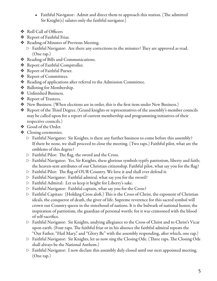- Faithful Navigator: Admit and direct them to approach this station. (The admitted  $Sir Knight(s)$  salutes only the faithful navigator.)
- v Roll Call of Officers
- v Report of Faithful Friar.
- ◆ Reading of Minutes of Previous Meeting.
	- $\triangleright$  Faithful Navigator: Are there any corrections to the minutes? They are approved as read. (One rap.)
- v Reading of Bills and Communications.
- v Report of Faithful Comptroller.
- v Report of Faithful Purser.
- Report of Committees.
- v Reading of applications after referral to the Admission Committee.
- v Balloting for Membership.
- ◆ Unfinished Business.
- ❖ Report of Trustees.
- $\clubsuit$  New Business. (When elections are in order, this is the first item under New Business.)
- \* Report of the Third Degree. (Grand knights or representatives of the assembly's member councils may be called upon for a report of current membership and programming initiatives of their respective councils.)
- v Good of the Order.
- Closing ceremonies.
	- $\triangleright$  Faithful Navigator: Sir Knights, is there any further business to come before this assembly? If there be none, we shall proceed to close the meeting. (Two raps.) Faithful pilot, what are the emblems of this degree?
	- $\triangleright$  Faithful Pilot: The flag, the sword and the Cross.
	- $\triangleright$  Faithful Navigator: Yes, Sir Knights, these glorious symbols typify patriotism, liberty and faith; the heaven-sent attributes of our Christian citizenship. Faithful pilot, what say you for the flag?
	- $\triangleright$  Faithful Pilot: The flag of OUR Country. We love it and shall ever defend it.
	- $\triangleright$  Faithful Navigator: Faithful admiral, what say you for the sword?
	- $\triangleright$  Faithful Admiral: Let us keep it bright for Liberty's sake.
	- $\triangleright$  Faithful Navigator: Faithful captain, what say you for the Cross?
	- $\triangleright$  Faithful Capitan: (Holding Cross aloft.) This is the Cross of Christ, the exponent of Christian ideals, the conqueror of death, the giver of life. Supreme reverence for this sacred symbol will crown our Country queen in the sisterhood of nations. It is the bulwark of national honor, the inspiration of patriotism, the guardian of personal worth; for it was crimsoned with the blood of self-sacrifice.
	- $\triangleright$  Faithful Navigator: Sir Knights, undying allegiance to the Cross of Christ and to Christ's Vicar upon earth. (Four raps. The faithful friar or in his absence the faithful admiral repeats the "Our Father, "Hail Mary," and "Glory Be" with the assembly responding, after which, onerap.)
	- $\triangleright$  Faithful Navigator: Sir Knights, let us now sing the Closing Ode. (Three raps. The Closing Ode shall always be the National Anthem.)
	- $\triangleright$  Faithful Navigator: I now declare this assembly duly closed until our next appointed meeting. (One rap.)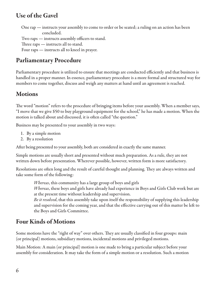#### **Use of the Gavel**

One rap — instructs your assembly to come to order or be seated; a ruling on an action has been concluded.

Two raps — instructs assembly officers to stand.

Three raps  $-$  instructs all to stand.

Four raps — instructs all to kneel in prayer.

## **Parliamentary Procedure**

Parliamentary procedure is utilized to ensure that meetings are conducted efficiently and that business is handled in a proper manner. In essence, parliamentary procedure is a more formal and structured way for members to come together, discuss and weigh any matters at hand until an agreement is reached.

#### **Motions**

The word "motion" refers to the procedure of bringing items before your assembly. When a member says, "I move that we give \$50 to buy playground equipment for the school," he has made a motion. When the motion is talked about and discussed, it is often called "the question."

Business may be presented to your assembly in two ways:

- 1. By a simple motion
- 2. By a resolution

After being presented to your assembly, both are considered in exactly the same manner.

Simple motions are usually short and presented without much preparation. As a rule, they are not written down before presentation. Wherever possible, however, written form is more satisfactory.

Resolutions are often long and the result of careful thought and planning. They are always written and take some form of the following:

*Whereas*, this community has a large group of boys and girls

Whereas, these boys and girls have already had experience in Boys and Girls Club work but are at the present time without leadership and supervision.

Be it resolved, that this assembly take upon itself the responsibility of supplying this leadership and supervision for the coming year, and that the effective carrying out of this matter be left to the Boys and Girls Committee.

# **Four Kinds of Motions**

Some motions have the "right of way" over others. They are usually classified in four groups: main (or principal) motions, subsidiary motions, incidental motions and privileged motions.

Main Motion: A main (or principal) motion is one made to bring a particular subject before your assembly for consideration. It may take the form of a simple motion or a resolution. Such a motion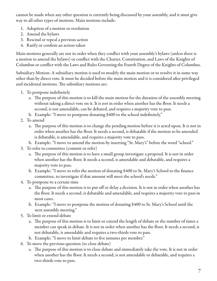cannot be made when any other question iscurrently being discussed by your assembly, and it must give way to all other types of motions. Main motions include:

- 1. Adoption of a motion or resolution
- 2. Amend the bylaws
- 3. Rescind or repeal a previous action
- 4. Ratify or confirm an action taken

Main motions generally are not in order when they conflict with your assembly's bylaws (unless there is a motion to amend the bylaws) or conflict with the Charter, Constitution, and Laws of the Knights of Columbus or conflict with the Laws and Rules Governing the Fourth Degree of the Knights of Columbus.

Subsidiary Motion: A subsidiary motion is used to modify the main motion or to resolve it in some way other than by direct vote. It must be decided before the main motion and it is considered after privileged and incidental motions. The subsidiary motions are:

- 1. To postpone indefinitely
	- a. The purpose of this motion is to kill the main motion for the duration of the assembly meeting without taking a direct vote on it. It is not in order when another has the floor. It needs a second, is not amendable, can be debated, and requires a majority vote to pass.
	- b. Example: "I move to postpone donating \$400 to the school indefinitely."
- 2. To amend
	- a. The purpose of this motion is to change the pending motion before it is acted upon. It is not in order when another has the floor. It needs a second, is debatable if the motion to be amended is debatable, is amendable, and requires a majority vote to pass.
	- b. Example: "I move to amend the motion by inserting "St. Mary's" before the word "school."
- 3. To refer to committee(commit or refer)
	- a. The purpose of this motion is to have a small group investigate a proposal. It is not in order when another has the floor. It needs a second, is amendable and debatable, and requires a majority vote to pass.
	- b. Example: "I move to refer the motion of donating \$400 to St. Mary's School to the finance committee, to investigate if that amount will meet the school's needs."
- 4. To postpone to a certain time
	- a. The purpose of this motion is to put off or delay a decision. It is not in order when another has the floor. It needs a second, is debatable and amendable, and requires a majority vote to pass in most cases.
	- b. Example: "I move to postpone the motion of donating \$400 to St. Mary's School until the next assembly meeting."
- 5. To limit or extend debate
	- a. The purpose of this motion is to limit or extend the length of debate or the number of times a member can speak in debate. It is not in order when another has the floor. It needs a second, is not debatable, is amendable and requires a two-thirds vote to pass.
	- b. Example: "I move to limit debate to five minutes per member."
- 6. To move the previous question (to close debate)
	- a. The purpose of this motion is to close debate and immediately take the vote. It is not in order when another has the floor. It needs a second, is not amendable or debatable, and requires a two-thirds vote to pass.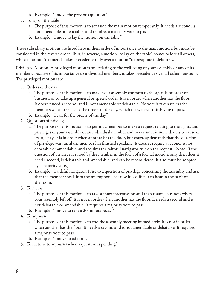- b. Example: "I move the previous question."
- 7. To lay on the table
	- a. The purpose of this motion is to set aside the main motion temporarily. It needs a second, is not amendable or debatable, and requires a majority vote to pass.
	- b. Example: "I move to lay the motion on the table."

These subsidiary motions are listed here in their order of importance to the main motion, but must be considered in the reverse order. Thus, in reverse, a motion "to lay on the table" comes before all others, while a motion "to amend" takes precedence only over a motion "to postpone indefinitely."

Privileged Motion: A privileged motion is one relating to the well-being of your assembly or any of its members. Because of its importance to individual members, it takes precedence over all other questions. The privileged motions are:

- 1. Orders of the day
	- a. The purpose of this motion is to make your assembly conform to the agenda or order of business, or to take up a general or special order. It is in order when another has the floor. It doesn't need a second, and is not amendable or debatable. No vote is taken unless the members want to set aside the orders of the day, which takes a two-thirds vote to pass.
	- b. Example: "I call for the orders of the day."
- 2. Questions of privilege
	- a. The purpose of this motion is to permit a member to make a request relating to the rights and privileges of your assembly or an individual member and to consider it immediately because of its urgency. It is in order when another has the floor, but courtesy demands that the question of privilege wait until the member has finished speaking. It doesn't require a second, is not debatable or amendable, and requires the faithful navigator rule on the request. (Note: If the question of privilege is raised by the member in the form of a formal motion, only then does it need a second, is debatable and amendable, and can be reconsidered. It also must be adopted by a majority vote.)
	- b. Example: "Faithful navigator, I rise to a question of privilege concerning the assembly and ask that the member speak into the microphone because it is difficult to hear in the back of the room."
- 3. To recess
	- a. The purpose of this motion is to take a short intermission and then resume business where your assembly left off. It is not in order when another has the floor. It needs a second and is not debatable or amendable. It requires a majority vote to pass.
	- b. Example: "I move to take a 20 minute recess."
- 4. To adjourn
	- a. The purpose of this motion is to end the assembly meeting immediately. It is not in order when another has the floor. It needs a second and is not amendable or debatable. It requires a majority vote to pass.
	- b. Example: "I move to adjourn."
- 5. To fix time to adjourn (when a question is pending)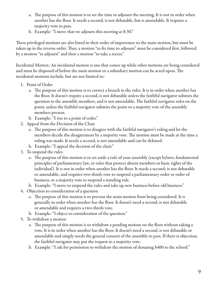- a. The purpose of this motion is to set the time to adjourn the meeting. It is not in order when another has the floor. It needs a second, is not debatable, but is amendable. It requires a majority vote to pass.
- b. Example: "I move that we adjourn this meeting at 8:30."

These privileged motions are also listed in their order of importance to the main motion, but must be taken up in the reverse order. Thus, a motion "to fix time to adjourn" must be considered first, followed by a motion "to adjourn" and then a motion "to take a recess."

Incidental Motion: An incidental motion is one that comes up while other motions are being considered and must be disposed of before the main motion or a subsidiary motion can be acted upon. The incidental motions include, but are not limited to:

- 1. Point of Order
	- a. The purpose of this motion is to correct a breach in the rules. It is in order when another has the floor. It doesn't require a second, is not debatable unless the faithful navigator submits the question to the assembly members, and is not amendable. The faithful navigator rules on the point, unless the faithful navigator submits the point to a majority vote of the assembly members present.
	- b. Example: "I rise to a point of order."
- 2. Appeal from the Decision of the Chair
	- a. The purpose of this motion is to disagree with the faithful navigator's ruling and let the members decide the disagreement by a majority vote. The motion must be made at the time a ruling was made. It needs a second, is not amendable and can be debated.
	- b. Example: "I appeal the decision of the chair."
- 3. To suspend the rules
	- a. The purpose of this motion is to set aside a rule of your assembly (except bylaws, fundamental principles of parliamentary law, or rules that protect absent members or basicrights of the individual). It is not in order when another has the floor. It needs a second; is not debatable or amendable; and requires two-thirds vote to suspend a parliamentary order or order of business, or a majority vote to suspend a standing rule.
	- b. Example: "I move to suspend the rules and take up new business before old business."
- 4. Objection to consideration of a question
	- a. The purpose of this motion is to prevent the main motion from being considered. It is generally in order when another has the floor. It doesn't need a second, is not debatable or amendable and requires a two-thirds vote.
	- b. Example: "I object to consideration of the question."
- 5. To withdraw a motion
	- a. The purpose of this motion is to withdraw a pending motion on the floor without taking a vote. It is in order when another has the floor. It doesn't need a second, is not debatable or amendable and simply needs the general consent of the assembly to pass. If there is objection, the faithful navigator may put the request to a majority vote.
	- b. Example: "I ask for permission to withdraw the motion of donating \$400 to the school."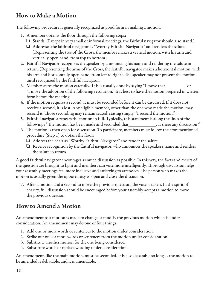#### **How to Make a Motion**

The following procedure is generally recognized as good form in making a motion.

- 1. A member obtains the floor through the following steps:
	- $\Box$  Stands. (Except in very small or informal meetings, the faithful navigator should also stand.)
	- $\Box$  Addresses the faithful navigator as "Worthy Faithful Navigator" and renders the salute. (Representing the tree of the Cross, the member makes a vertical motion, with his arm and vertically open hand, from top to bottom).
- 2. Faithful Navigator recognizes the speaker by announcing his name and rendering the salute in return. (Representing the arms of the Cross, the faithful navigator makes a horizontal motion, with his arm and horizontally open hand, from left to right). The speaker may not present the motion until recognized by the faithful navigator.
- 3. Member states the motion carefully. This is usually done by saying "I move that  $\blacksquare$  or "I move the adoption of the following resolution." It is best to have the motion prepared in written form before the meeting.
- 4. If the motion requires a second, it must be seconded before it can be discussed. If it does not receive a second, it is lost. Any eligible member, other than the one who made the motion, may second it. Those seconding may remain seated, stating simply, "I second the motion."
- 5. Faithful navigator repeats the motion in full. Typically, this statement is along thelines of the following: "The motion has been made and seconded that\_\_\_\_\_\_\_\_\_\_\_\_. Is there any discussion?"
- 6. The motion is then open for discussion. To participate, members must follow the aforementioned procedure(Step 1) to obtain the floor:
	- $\Box$  Address the chair as "Worthy Faithful Navigator" and render the salute
	- $\Box$  Receive recognition by the faithful navigator, who announces the speaker's name and renders the salute in return

A good faithful navigator encourages as much discussion as possible. In this way, the facts and merits of the question are brought to light and members can vote more intelligently. Thorough discussion helps your assembly meetings feel more inclusive and satisfying to attendees. The person who makes the motion is usually given the opportunity to open and close the discussion.

7. After a motion and a second to move the previous question, the vote is taken. In the spirit of charity, full discussion should be encouraged before your assembly accepts a motion to move the previous question.

# **How to Amend a Motion**

An amendment to a motion is made to change or modify the previous motion which is under consideration. An amendment may do one of four things:

- 1. Add one or more words or sentences to the motion under consideration.
- 2. Strike out one or more words or sentences from the motion under consideration.
- 3. Substitute another motion for the one being considered.
- 4. Substitute words or replace wording under consideration.

An amendment, like the main motion, must be seconded. It is also debatable so long as the motion to be amended is debatable, and it is amendable.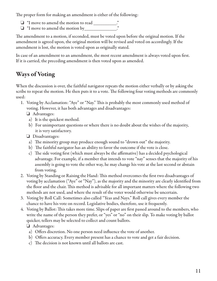The proper form for making an amendment is either of the following:

- $\Box$  "I move to amend the motion to read \_\_\_\_\_\_\_\_\_\_\_."
- $\Box$  "I move to amend the motion by\_\_\_\_\_\_\_\_\_\_\_\_\_\_\_."

The amendment to a motion, if seconded, must be voted upon before the original motion. If the amendment is agreed upon, the original motion will be revised and voted on accordingly. If the amendment is lost, the motion is voted upon as originally stated.

In case of an amendment to an amendment, the most recent amendment is always voted upon first. If it is carried, the preceding amendment is then voted upon as amended.

# **Ways of Voting**

When the discussion is over, the faithful navigator repeats the motion either verbally or by asking the scribe to repeat the motion. He then puts it to a vote. The following four voting methods are commonly used:

- 1. Voting by Acclamation: "Aye" or "Nay." This is probably the most commonly used method of voting. However, it has both advantages and disadvantages:
	- $\Box$  Advantages:
		- a) It is the quickest method.
	- b) For unimportant questions or where there is no doubt about the wishes of the majority, it is very satisfactory.
	- $\Box$  Disadvantages:
		- a) The minority group may produce enough sound to "drown out" the majority.
		- b) The faithful navigator has an ability to favor the outcome if the vote is close.
		- c) The side voting first (which must always be the affirmative) has a decided psychological advantage. For example, if a member that intends to vote "nay" senses that the majority of his assembly is going to vote the other way, he may change his vote at the last second or abstain from voting.
- 2. Voting by Standing or Raising the Hand: This method overcomes the first two disadvantages of voting by acclamation ("Aye" or "Nay"), as the majority and the minority areclearly identified from the floor and the chair. This method is advisable for all important matters where the following two methods are not used, and where the result of the voter would otherwise be uncertain.
- 3. Voting by Roll Call: Sometimes also called "Yeas and Nays." Roll call gives every member the chance to have his vote on record. Legislative bodies, therefore, use it frequently.
- 4. Voting by Ballot: This takes more time. Slips of paper are first passed around to the members, who write the name of the person they prefer, or "yes" or "no" on their slip. To make voting by ballot quicker, tellers may be selected to collect and count ballots.

#### $\Box$  Advantages:

- a) Offers discretion. No one person need influence the vote of another.
- b) Offers accuracy. Every member present has a chance to vote and get a fair decision.
- c) The decision is not known until all ballots arecast.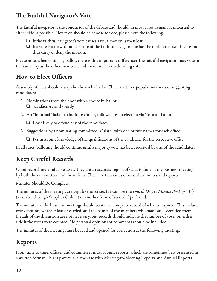## **The Faithful Navigator' s Vote**

The faithful navigator is the conductor of the debate and should, in most cases, remain as impartial to either side as possible. However, should he choose to vote, please note the following:

- $\Box$  If the faithful navigator's vote causes a tie, a motion is then lost.
- $\Box$  If a vote is a tie without the vote of the faithful navigator, he has the option to cast his vote and thus carry or deny the motion.

Please note, when voting by ballot, there is this important difference: The faithful navigator must vote in the same way as the other members, and therefore has no deciding vote.

# **How to Elect Officers**

Assembly officers should always be chosen by ballot. There are three popular methods of suggesting candidates:

- 1. Nominations from the floor with a choice by ballot.
	- $\Box$  Satisfactory and speedy
- 2. An "informal" ballot to indicate choice, followed by an election via "formal" ballot.

 $\Box$  Least likely to offend any of the candidates

- 3. Suggestions by a nominating committee: a "slate" with one or two names for each office.
	- $\Box$  Permits some knowledge of the qualifications of the candidate for the respective office

In all cases, balloting should continue until a majority vote has been received by one of the candidates.

# **Keep Careful Records**

Good records are a valuable asset. They are an accurate report of what is done in the business meeting by both the committees and the officers. There are two kinds of records: minutes and reports.

Minutes Should Be Complete.

The minutes of the meetings are kept by the scribe. He can use the *Fourth Degree Minute Book* (#437) (available through Supplies Online) or another form of record if preferred.

The minutes of the business meetings should contain a complete record of what transpired. This includes every motion, whether lost or carried, and the names of the members who made and seconded them. Details of the discussion are not necessary, but records should indicate the number of votes on either side if the votes were counted. No personal opinions or comments should be included.

The minutes of the meeting must be read and opened for correction at the following meeting.

# **Reports**

From time to time, officers and committees must submit reports, which are sometimes best presented in a written format. This is particularly the case with Meeting-to-Meeting Reports and Annual Reports.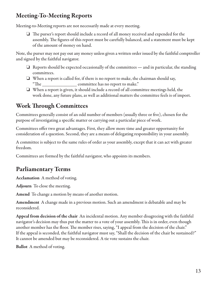#### **Meeting-To-Meeting Reports**

Meeting-to-Meeting reports are not necessarily made at every meeting.

 $\Box$  The purser's report should include a record of all money received and expended for the assembly. The figures of this report must be carefully balanced, and a statement must be kept of the amount of money on hand.

Note, the purser may not pay out any money unless given a written order issued by the faithful comptroller and signed by the faithful navigator.

- $\Box$  Reports should be expected occasionally of the committees and in particular, the standing committees.
- $\Box$  When a report is called for, if there is no report to make, the chairman should say, "The \_\_\_\_\_\_\_\_\_\_\_\_\_\_\_ committee has no report to make."
- $\Box$  When a report is given, it should include a record of all committee meetings held, the work done, any future plans, as well as additional matters the committee feels is of import.

#### **Work Through Committees**

Committees generally consist of an odd number of members (usually three or five), chosen for the purpose of investigating a specific matter or carrying out a particular piece of work.

Committees offer two great advantages. First, they allow more time and greater opportunity for consideration of a question. Second, they are a means of delegating responsibility in your assembly.

A committee is subject to the same rules of order as your assembly, except that it can act with greater freedom.

Committees are formed by the faithful navigator, who appoints its members.

### **Parliamentary Terms**

**Acclamation** A method of voting.

Adjourn To close the meeting.

**Amend** To change a motion by means of another motion.

**Amendment** A change made in a previous motion. Such an amendment is debatable and may be reconsidered.

**Appeal from decision of the chair** An incidental motion. Any member disagreeing with thefaithful navigator's decision may thus put the matter to a vote of your assembly. This is in order, even though another member has the floor. The member rises, saying, "I appeal from the decision of the chair." If the appeal is seconded, the faithful navigator must say, "Shall the decision of the chair be sustained?" It cannot be amended but may be reconsidered. A tie vote sustains the chair.

**Ballot** A method of voting.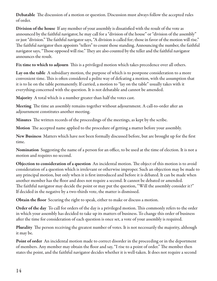**Debatable** The discussion of a motion or question. Discussion must always follow the accepted rules of order.

**Division of the house** If any member of your assembly is dissatisfied with theresult of the vote as announced by the faithful navigator, he may call for a "division of the house" or "division of the assembly" or just "division." The faithful navigator says, "A division is called for; those in favor of the motion will rise." The faithful navigator then appoints "tellers" to count those standing. Announcing the number, the faithful navigator says, "Those opposed will rise." They are also counted by the teller and the faithful navigator announces the result.

**Fix time to which to adjourn** This is a privileged motion which takes precedence over all others.

**Lay on the table** A subsidiary motion, the purpose of which is to postponeconsideration to a more convenient time. This is often considered a polite way of defeating a motion, with the assumption that it is to lie on the table permanently. If carried, a motion to "lay on the table" usually takes with it everything concerned with the question. It is not debatable and cannot be amended.

Majority A total which is a number greater than half the votes cast.

**Meeting** The time an assembly remains together without adjournment. A call-to-order after an adjournment constitutes another meeting.

**Minutes** The written records of the proceedings of the meetings, as kept by the scribe.

**Motion** The accepted name applied to the procedure of getting a matter before your assembly.

**New Business** Matters which have not been formally discussed before, but are brought up for the first time.

**Nomination** Suggesting the name of a person for an office, to be used at the time of election. It is not a motion and requires no second.

**Objection to consideration of a question** An incidental motion. The object of this motion is to avoid consideration of a question which is irrelevant or otherwise improper. Such an objection may be made to any principal motion, but only when it is first introduced and before it is debated. It can be made when another member has the floor and does not require a second. It cannot be debated or amended. The faithful navigator may decide the point or may put the question, "Will the assembly consider it?" If decided in the negative by a two-thirds vote, the matter is dismissed.

**Obtain the floor** Securing the right to speak, either to make or discuss a motion.

**Order of the day** To call for orders of the day is a privileged motion. Thiscommonly refers to the order in which your assembly has decided to take up its matters of business. To change this order of business after the time for consideration of each question is once set, a vote of your assembly is required.

**Plurality** The person receiving the greatest number of votes. It is not necessarily the majority, although it may be.

**Point of order** An incidental motion made to correct disorder in the proceeding or in the deportment of members. Any member may obtain the floor and say, "I riseto a point of order." The member then states the point, and the faithful navigator decides whether it is well-taken. It does not require a second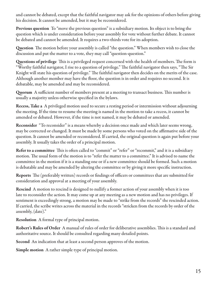and cannot be debated, except that the faithful navigator may ask for the opinions of others before giving his decision. It cannot be amended, but it may be reconsidered.

**Previous question** To "move the previous question" is a subsidiary motion. Its object is to bring the question which is under consideration before your assembly for vote without further debate. It cannot be debated and cannot be amended. It requires a two-thirds vote for its adoption.

**Question** The motion before your assembly is called "the question." When members wish to close the discussion and put the matter to a vote, they may call "question-question."

**Questions of privilege** This is a privileged request concerned with the health of members. The form is "Worthy faithful navigator, I rise to a question of privilege." The faithful navigator then says, "The Sir Knight will state his question of privilege." The faithful navigator then decides on the merits of the case. Although another member may have the floor, the question is in order and requires no second. It is debatable, may be amended and may be reconsidered.

**Quorum** A sufficient number of members present at a meeting to transact business. This number is usually a majority unless otherwise specified in the bylaws.

**Recess, Take a** A privileged motion used to secure a resting period or intermission without adjourning the meeting. If the time to resume the meeting is named in the motion to take a recess, it cannot be amended or debated. However, if the time is not named, it may be debated or amended.

**Reconsider** "To reconsider" is a means whereby a decision once made and which later seems wrong, may be corrected or changed. It must be made by some persons who voted on the affirmative side of the question. It cannot be amended or reconsidered. If carried, the original question is again put before your assembly. It usually takes the order of a principal motion.

**Refer to a committee** This is often called to "commit" or "refer" or "recommit," and it is a subsidiary motion. The usual form of the motion is to "refer the matter to a committee." It is advised to name the committee in the motion if it is a standing one or if a new committee should be formed. Such a motion is debatable and may be amended by altering the committee or by giving it more specific instruction.

**Reports** The (preferably written) records or findings of officers or committees that are submitted for consideration and approval at a meeting of your assembly.

**Rescind** A motion to rescind is designed to nullify a former action of your assembly when it is too late to reconsider the action. It may come up at any meeting as a new motion and has no privileges. If sentiment is exceedingly strong, a motion may be made to "strike from the records" the rescinded action. If carried, the scribe writes across the material in the records "stricken from the records by order of the assembly, (date)."

**Resolution** A formal type of principal motion.

**Robert's Rules of Order** A manual of rules of order for deliberative assemblies. This is a standard and authoritative source. It should be consulted regarding many detailed points.

**Second** An indication that at least a second person approves of the motion.

**Simple motion** A rather simple type of principal motion.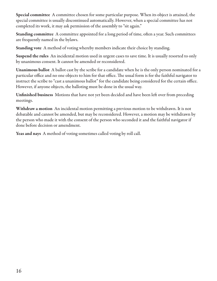**Special committee** A committee chosen for some particular purpose. When its object is attained, the special committee is usually discontinued automatically. However, when a special committee has not completed its work, it may ask permission of the assembly to "sit again."

**Standing committee** A committee appointed for a long period of time, often a year. Such committees are frequently named in the bylaws.

**Standing vote** A method of voting whereby members indicate their choice by standing.

**Suspend the rules** An incidental motion used in urgent cases to save time. It is usually resorted to only by unanimous consent. It cannot be amended or reconsidered.

**Unanimous ballot** A ballot cast by the scribe for a candidate when he is the only person nominated for a particular office and no one objects to him for that office. The usual form is for the faithful navigator to instruct the scribe to "cast a unanimous ballot" for the candidate being considered for the certain office. However, if anyone objects, the balloting must be done in the usual way.

**Unfinished business** Motions that have not yet been decided and have been left over from preceding meetings.

**Withdraw a motion** An incidental motion permitting a previous motion to be withdrawn. It is not debatable and cannot be amended, but may be reconsidered. However, a motion may be withdrawn by the person who made it with the consent of the person who seconded it and the faithful navigator if done before decision or amendment.

Yeas and nays A method of voting sometimes called voting by roll call.